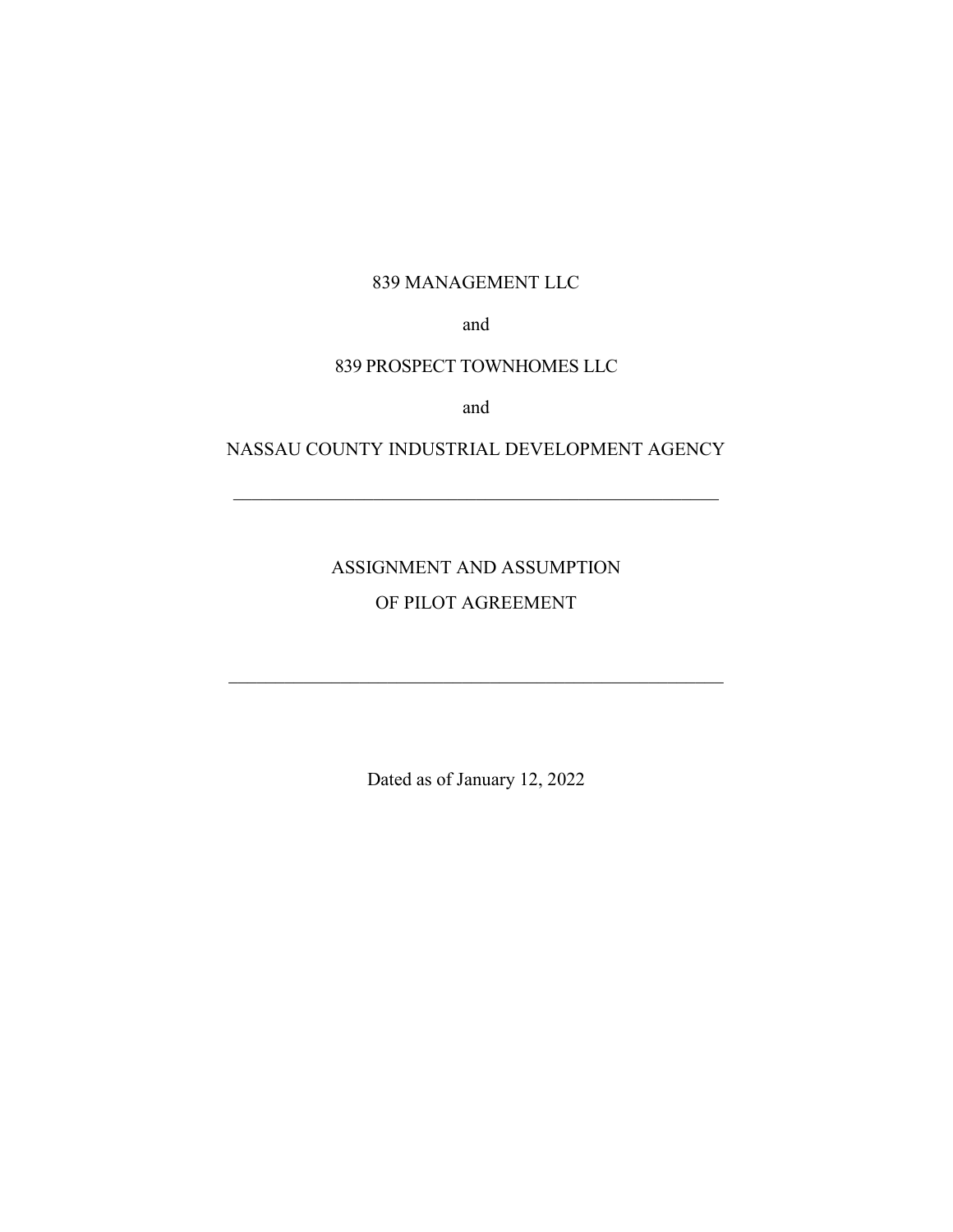## 839 MANAGEMENT LLC

and

## 839 PROSPECT TOWNHOMES LLC

and

# NASSAU COUNTY INDUSTRIAL DEVELOPMENT AGENCY

ASSIGNMENT AND ASSUMPTION OF PILOT AGREEMENT

Dated as of January 12, 2022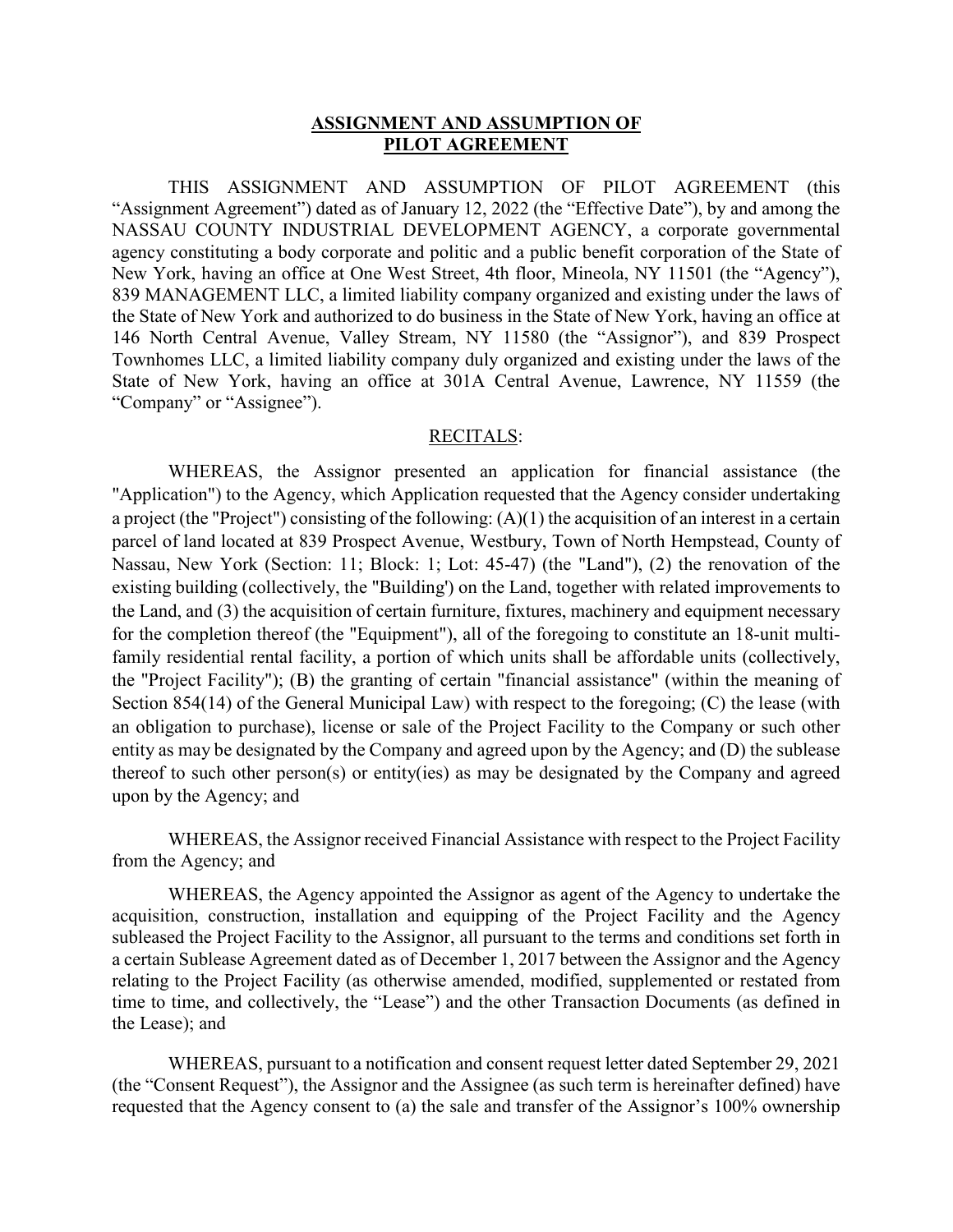#### **ASSIGNMENT AND ASSUMPTION OF PILOT AGREEMENT**

THIS ASSIGNMENT AND ASSUMPTION OF PILOT AGREEMENT (this "Assignment Agreement") dated as of January 12, 2022 (the "Effective Date"), by and among the NASSAU COUNTY INDUSTRIAL DEVELOPMENT AGENCY, a corporate governmental agency constituting a body corporate and politic and a public benefit corporation of the State of New York, having an office at One West Street, 4th floor, Mineola, NY 11501 (the "Agency"), 839 MANAGEMENT LLC, a limited liability company organized and existing under the laws of the State of New York and authorized to do business in the State of New York, having an office at 146 North Central Avenue, Valley Stream, NY 11580 (the "Assignor"), and 839 Prospect Townhomes LLC, a limited liability company duly organized and existing under the laws of the State of New York, having an office at 301A Central Avenue, Lawrence, NY 11559 (the "Company" or "Assignee").

#### RECITALS:

WHEREAS, the Assignor presented an application for financial assistance (the "Application") to the Agency, which Application requested that the Agency consider undertaking a project (the "Project") consisting of the following: (A)(1) the acquisition of an interest in a certain parcel of land located at 839 Prospect Avenue, Westbury, Town of North Hempstead, County of Nassau, New York (Section: 11; Block: 1; Lot: 45-47) (the "Land"), (2) the renovation of the existing building (collectively, the "Building') on the Land, together with related improvements to the Land, and (3) the acquisition of certain furniture, fixtures, machinery and equipment necessary for the completion thereof (the "Equipment"), all of the foregoing to constitute an 18-unit multifamily residential rental facility, a portion of which units shall be affordable units (collectively, the "Project Facility"); (B) the granting of certain "financial assistance" (within the meaning of Section 854(14) of the General Municipal Law) with respect to the foregoing; (C) the lease (with an obligation to purchase), license or sale of the Project Facility to the Company or such other entity as may be designated by the Company and agreed upon by the Agency; and (D) the sublease thereof to such other person(s) or entity(ies) as may be designated by the Company and agreed upon by the Agency; and

WHEREAS, the Assignor received Financial Assistance with respect to the Project Facility from the Agency; and

WHEREAS, the Agency appointed the Assignor as agent of the Agency to undertake the acquisition, construction, installation and equipping of the Project Facility and the Agency subleased the Project Facility to the Assignor, all pursuant to the terms and conditions set forth in a certain Sublease Agreement dated as of December 1, 2017 between the Assignor and the Agency relating to the Project Facility (as otherwise amended, modified, supplemented or restated from time to time, and collectively, the "Lease") and the other Transaction Documents (as defined in the Lease); and

WHEREAS, pursuant to a notification and consent request letter dated September 29, 2021 (the "Consent Request"), the Assignor and the Assignee (as such term is hereinafter defined) have requested that the Agency consent to (a) the sale and transfer of the Assignor's 100% ownership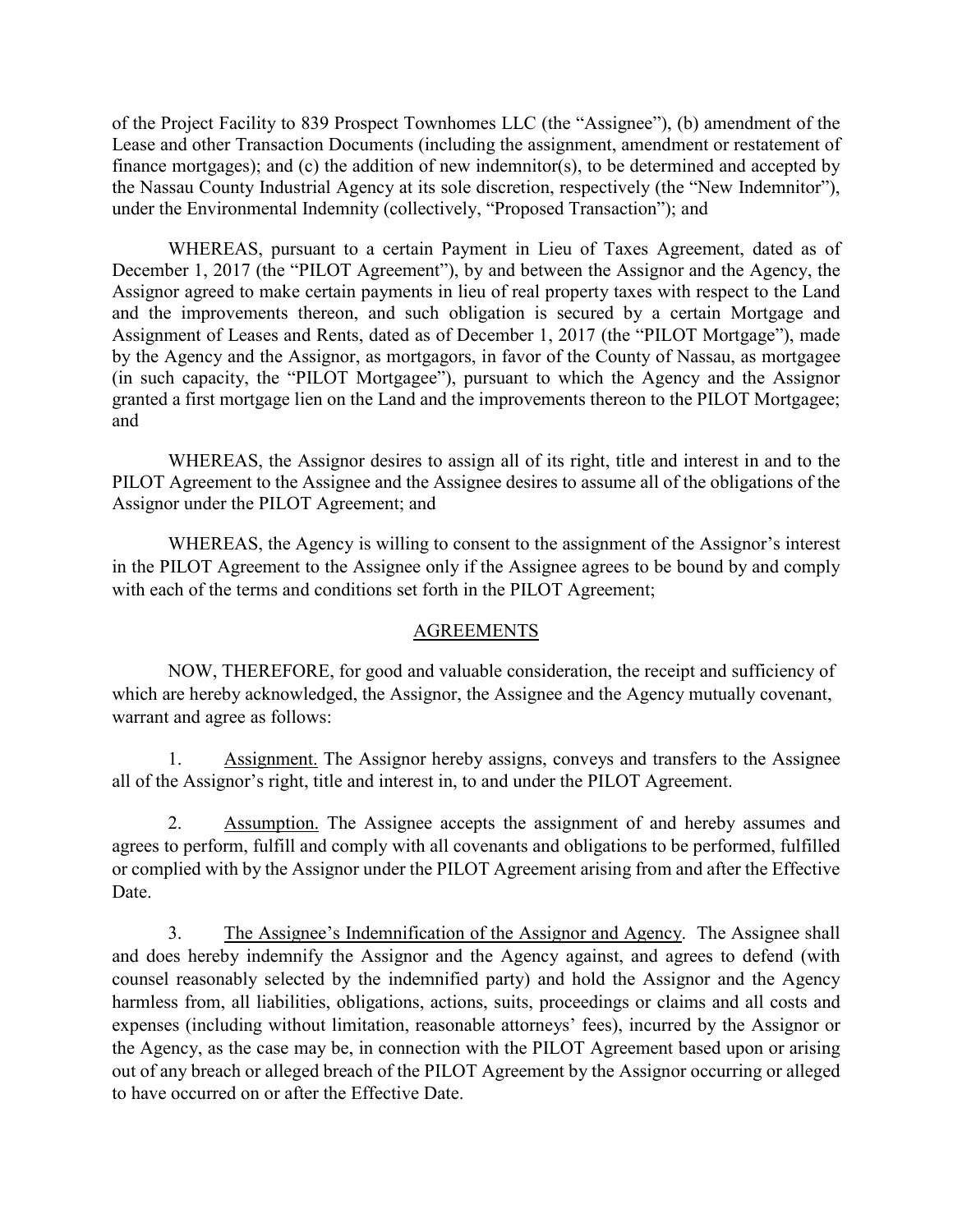of the Project Facility to 839 Prospect Townhomes LLC (the "Assignee"), (b) amendment of the Lease and other Transaction Documents (including the assignment, amendment or restatement of finance mortgages); and (c) the addition of new indemnitor(s), to be determined and accepted by the Nassau County Industrial Agency at its sole discretion, respectively (the "New Indemnitor"), under the Environmental Indemnity (collectively, "Proposed Transaction"); and

WHEREAS, pursuant to a certain Payment in Lieu of Taxes Agreement, dated as of December 1, 2017 (the "PILOT Agreement"), by and between the Assignor and the Agency, the Assignor agreed to make certain payments in lieu of real property taxes with respect to the Land and the improvements thereon, and such obligation is secured by a certain Mortgage and Assignment of Leases and Rents, dated as of December 1, 2017 (the "PILOT Mortgage"), made by the Agency and the Assignor, as mortgagors, in favor of the County of Nassau, as mortgagee (in such capacity, the "PILOT Mortgagee"), pursuant to which the Agency and the Assignor granted a first mortgage lien on the Land and the improvements thereon to the PILOT Mortgagee; and

WHEREAS, the Assignor desires to assign all of its right, title and interest in and to the PILOT Agreement to the Assignee and the Assignee desires to assume all of the obligations of the Assignor under the PILOT Agreement; and

WHEREAS, the Agency is willing to consent to the assignment of the Assignor's interest in the PILOT Agreement to the Assignee only if the Assignee agrees to be bound by and comply with each of the terms and conditions set forth in the PILOT Agreement;

#### AGREEMENTS

NOW, THEREFORE, for good and valuable consideration, the receipt and sufficiency of which are hereby acknowledged, the Assignor, the Assignee and the Agency mutually covenant, warrant and agree as follows:

1. Assignment. The Assignor hereby assigns, conveys and transfers to the Assignee all of the Assignor's right, title and interest in, to and under the PILOT Agreement.

2. Assumption. The Assignee accepts the assignment of and hereby assumes and agrees to perform, fulfill and comply with all covenants and obligations to be performed, fulfilled or complied with by the Assignor under the PILOT Agreement arising from and after the Effective Date.

3. The Assignee's Indemnification of the Assignor and Agency. The Assignee shall and does hereby indemnify the Assignor and the Agency against, and agrees to defend (with counsel reasonably selected by the indemnified party) and hold the Assignor and the Agency harmless from, all liabilities, obligations, actions, suits, proceedings or claims and all costs and expenses (including without limitation, reasonable attorneys' fees), incurred by the Assignor or the Agency, as the case may be, in connection with the PILOT Agreement based upon or arising out of any breach or alleged breach of the PILOT Agreement by the Assignor occurring or alleged to have occurred on or after the Effective Date.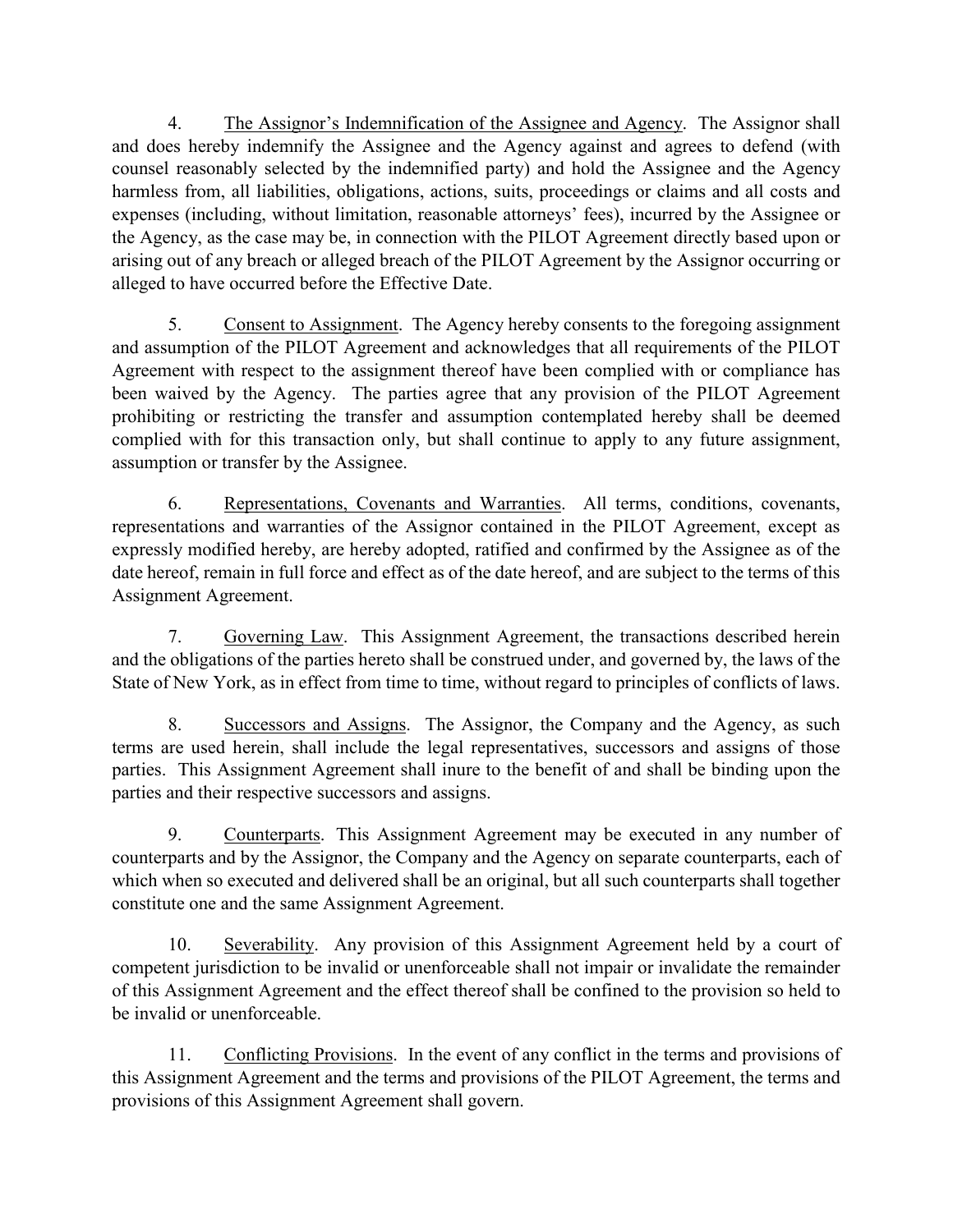4. The Assignor's Indemnification of the Assignee and Agency. The Assignor shall and does hereby indemnify the Assignee and the Agency against and agrees to defend (with counsel reasonably selected by the indemnified party) and hold the Assignee and the Agency harmless from, all liabilities, obligations, actions, suits, proceedings or claims and all costs and expenses (including, without limitation, reasonable attorneys' fees), incurred by the Assignee or the Agency, as the case may be, in connection with the PILOT Agreement directly based upon or arising out of any breach or alleged breach of the PILOT Agreement by the Assignor occurring or alleged to have occurred before the Effective Date.

5. Consent to Assignment. The Agency hereby consents to the foregoing assignment and assumption of the PILOT Agreement and acknowledges that all requirements of the PILOT Agreement with respect to the assignment thereof have been complied with or compliance has been waived by the Agency. The parties agree that any provision of the PILOT Agreement prohibiting or restricting the transfer and assumption contemplated hereby shall be deemed complied with for this transaction only, but shall continue to apply to any future assignment, assumption or transfer by the Assignee.

6. Representations, Covenants and Warranties. All terms, conditions, covenants, representations and warranties of the Assignor contained in the PILOT Agreement, except as expressly modified hereby, are hereby adopted, ratified and confirmed by the Assignee as of the date hereof, remain in full force and effect as of the date hereof, and are subject to the terms of this Assignment Agreement.

7. Governing Law. This Assignment Agreement, the transactions described herein and the obligations of the parties hereto shall be construed under, and governed by, the laws of the State of New York, as in effect from time to time, without regard to principles of conflicts of laws.

8. Successors and Assigns. The Assignor, the Company and the Agency, as such terms are used herein, shall include the legal representatives, successors and assigns of those parties. This Assignment Agreement shall inure to the benefit of and shall be binding upon the parties and their respective successors and assigns.

9. Counterparts. This Assignment Agreement may be executed in any number of counterparts and by the Assignor, the Company and the Agency on separate counterparts, each of which when so executed and delivered shall be an original, but all such counterparts shall together constitute one and the same Assignment Agreement.

10. Severability. Any provision of this Assignment Agreement held by a court of competent jurisdiction to be invalid or unenforceable shall not impair or invalidate the remainder of this Assignment Agreement and the effect thereof shall be confined to the provision so held to be invalid or unenforceable.

11. Conflicting Provisions. In the event of any conflict in the terms and provisions of this Assignment Agreement and the terms and provisions of the PILOT Agreement, the terms and provisions of this Assignment Agreement shall govern.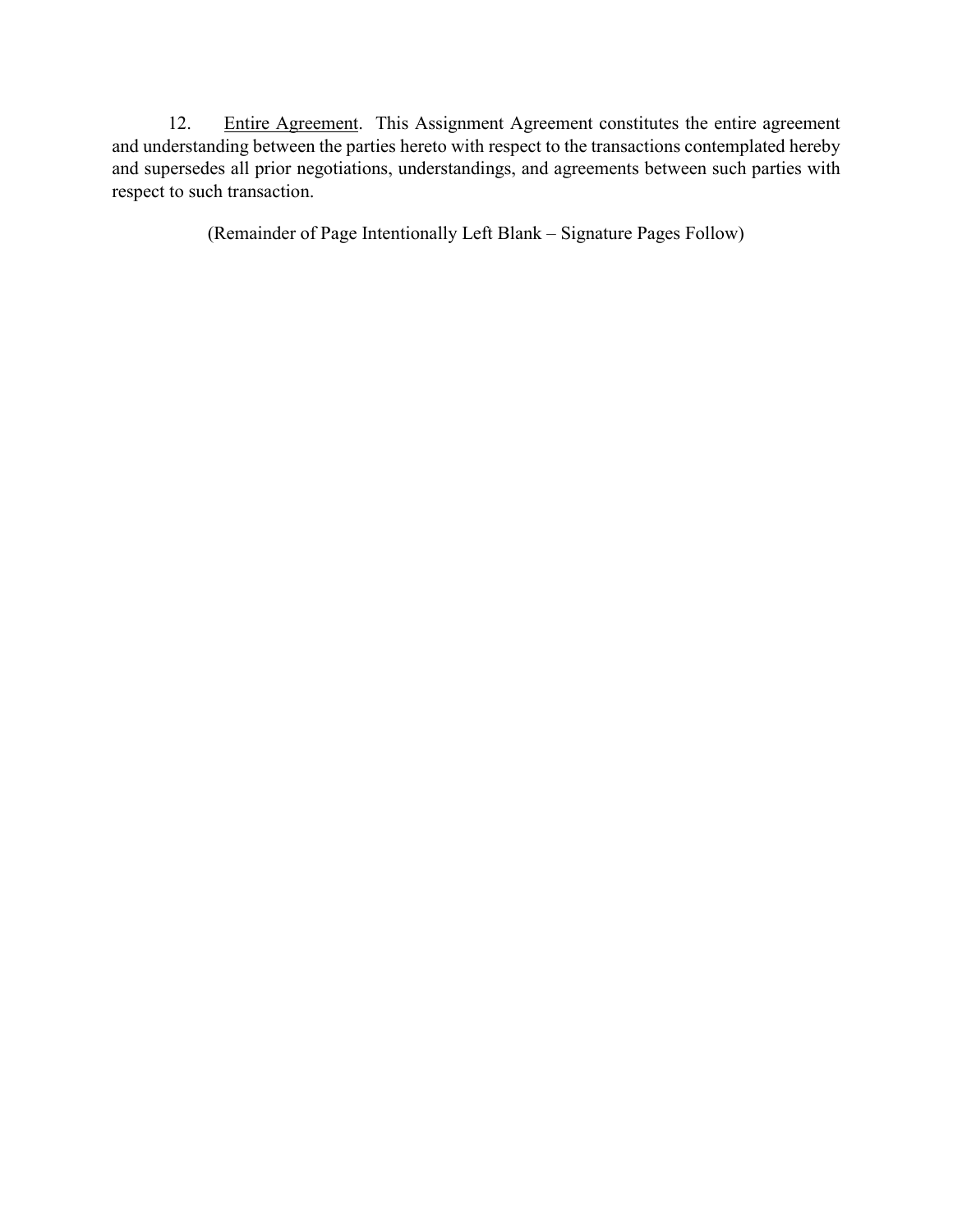12. Entire Agreement. This Assignment Agreement constitutes the entire agreement and understanding between the parties hereto with respect to the transactions contemplated hereby and supersedes all prior negotiations, understandings, and agreements between such parties with respect to such transaction.

(Remainder of Page Intentionally Left Blank – Signature Pages Follow)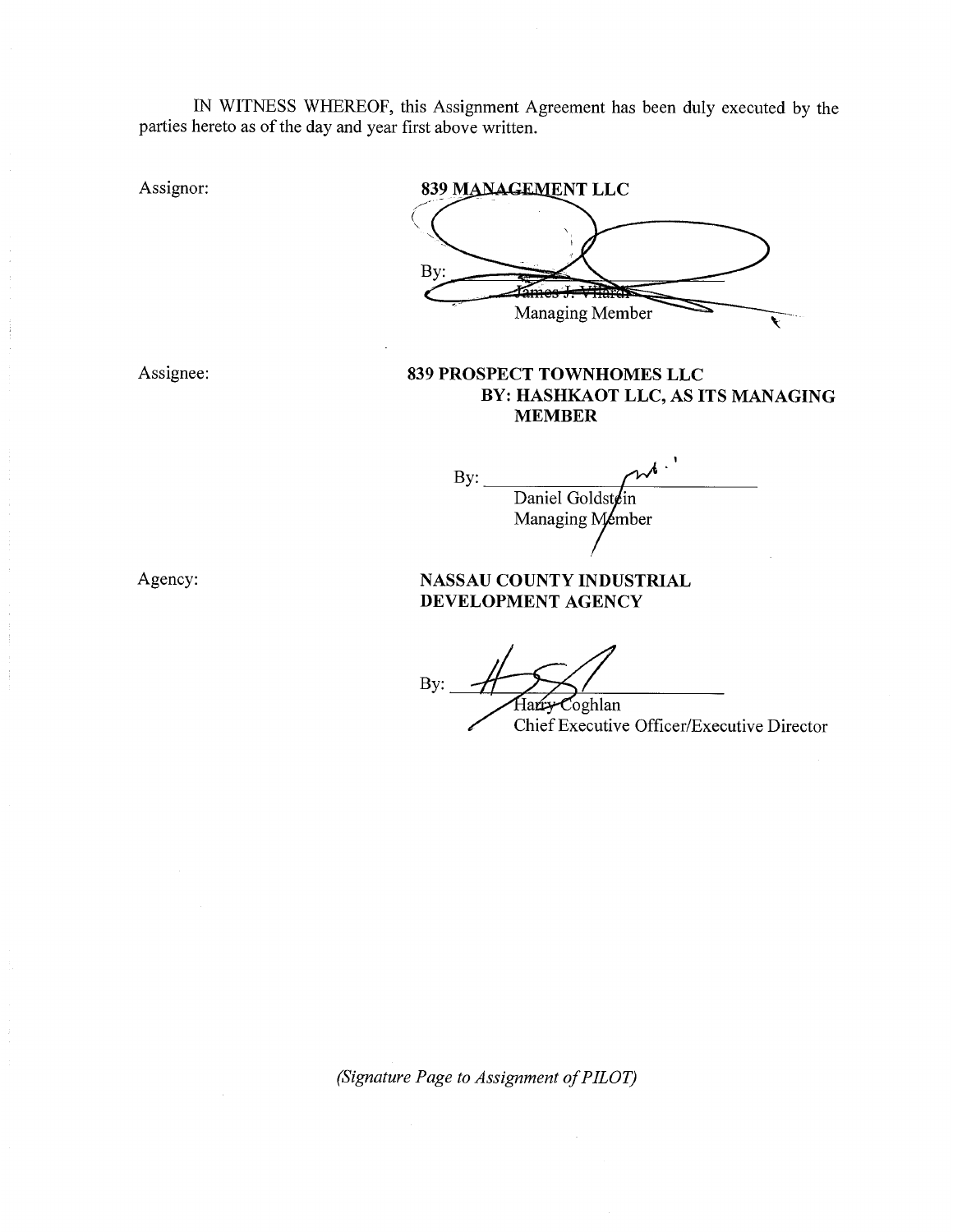IN WITNESS WHEREOF, this Assignment Agreement has been duly executed by the parties hereto as of the day and year first above written.

Assignor:

Assignee:

839 MANAGEMENT LLC By: Managing Member 839 PROSPECT TOWNHOMES LLC BY: HASHKAOT LLC, AS ITS MANAGING **MEMBER** By: Daniel Goldstein Managing Member NASSAU COUNTY INDUSTRIAL DEVELOPMENT AGENCY By: Coghlan Chief Executive Officer/Executive Director

(Signature Page to Assignment of PILOT)

Agency: